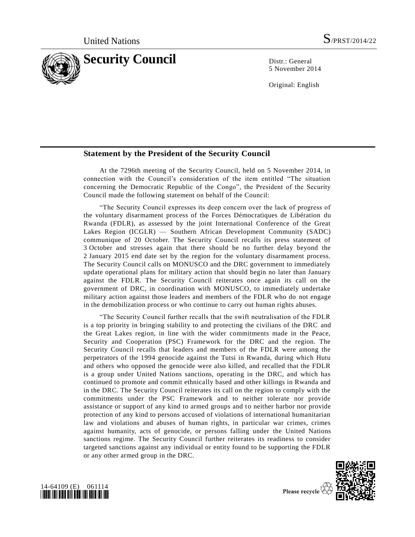

5 November 2014

Original: English

## **Statement by the President of the Security Council**

At the 7296th meeting of the Security Council, held on 5 November 2014, in connection with the Council's consideration of the item entitled "The situation concerning the Democratic Republic of the Congo", the President of the Security Council made the following statement on behalf of the Council:

"The Security Council expresses its deep concern over the lack of progress of the voluntary disarmament process of the Forces Démocratiques de Libération du Rwanda (FDLR), as assessed by the joint International Conference of the Great Lakes Region (ICGLR) — Southern African Development Community (SADC) communique of 20 October. The Security Council recalls its press statement of 3 October and stresses again that there should be no further delay beyond the 2 January 2015 end date set by the region for the voluntary disarmament process. The Security Council calls on MONUSCO and the DRC government to immediately update operational plans for military action that should begin no later than January against the FDLR. The Security Council reiterates once again its call on the government of DRC, in coordination with MONUSCO, to immediately undertake military action against those leaders and members of the FDLR who do not engage in the demobilization process or who continue to carry out human rights abuses.

"The Security Council further recalls that the swift neutralisation of the FDLR is a top priority in bringing stability to and protecting the civilians of the DRC and the Great Lakes region, in line with the wider commitments made in the Peace, Security and Cooperation (PSC) Framework for the DRC and the region. The Security Council recalls that leaders and members of the FDLR were among the perpetrators of the 1994 genocide against the Tutsi in Rwanda, during which Hutu and others who opposed the genocide were also killed, and recalled that the FDLR is a group under United Nations sanctions, operating in the DRC, and which has continued to promote and commit ethnically based and other killings in Rwanda and in the DRC. The Security Council reiterates its call on the region to comply with the commitments under the PSC Framework and to neither tolerate nor provide assistance or support of any kind to armed groups and to neither harbor nor provide protection of any kind to persons accused of violations of international humanitarian law and violations and abuses of human rights, in particular war crimes, crimes against humanity, acts of genocide, or persons falling under the United Nations sanctions regime. The Security Council further reiterates its readiness to consider targeted sanctions against any individual or entity found to be supporting the FDLR or any other armed group in the DRC.





Please recycle  $\langle$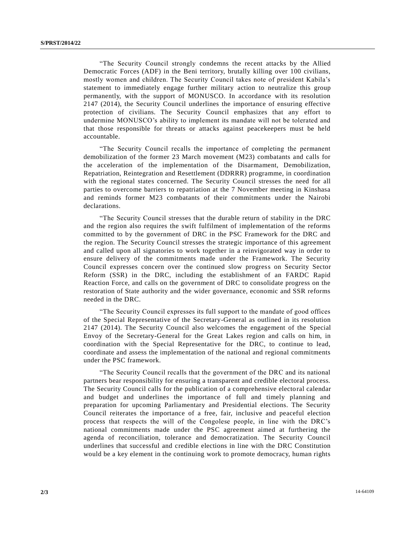"The Security Council strongly condemns the recent attacks by the Allied Democratic Forces (ADF) in the Beni territory, brutally killing over 100 civilians, mostly women and children. The Security Council takes note of president Kabila's statement to immediately engage further military action to neutralize this group permanently, with the support of MONUSCO. In accordance with its resolution 2147 (2014), the Security Council underlines the importance of ensuring effective protection of civilians. The Security Council emphasizes that any effort to undermine MONUSCO's ability to implement its mandate will not be tolerated and that those responsible for threats or attacks against peacekeepers must be held accountable.

"The Security Council recalls the importance of completing the permanent demobilization of the former 23 March movement (M23) combatants and calls for the acceleration of the implementation of the Disarmament, Demobilization, Repatriation, Reintegration and Resettlement (DDRRR) programme, in coordination with the regional states concerned. The Security Council stresses the need for all parties to overcome barriers to repatriation at the 7 November meeting in Kinshasa and reminds former M23 combatants of their commitments under the Nairobi declarations.

"The Security Council stresses that the durable return of stability in the DRC and the region also requires the swift fulfilment of implementation of the reforms committed to by the government of DRC in the PSC Framework for the DRC and the region. The Security Council stresses the strategic importance of this agreement and called upon all signatories to work together in a reinvigorated way in order to ensure delivery of the commitments made under the Framework. The Security Council expresses concern over the continued slow progress on Security Sector Reform (SSR) in the DRC, including the establishment of an FARDC Rapid Reaction Force, and calls on the government of DRC to consolidate progress on the restoration of State authority and the wider governance, economic and SSR reforms needed in the DRC.

"The Security Council expresses its full support to the mandate of good offices of the Special Representative of the Secretary-General as outlined in its resolution 2147 (2014). The Security Council also welcomes the engagement of the Special Envoy of the Secretary-General for the Great Lakes region and calls on him, in coordination with the Special Representative for the DRC, to continue to lead, coordinate and assess the implementation of the national and regional commitments under the PSC framework.

"The Security Council recalls that the government of the DRC and its national partners bear responsibility for ensuring a transparent and credible electoral process. The Security Council calls for the publication of a comprehensive electoral calendar and budget and underlines the importance of full and timely planning and preparation for upcoming Parliamentary and Presidential elections. The Security Council reiterates the importance of a free, fair, inclusive and peaceful election process that respects the will of the Congolese people, in line with the DRC's national commitments made under the PSC agreement aimed at furthering the agenda of reconciliation, tolerance and democratization. The Security Council underlines that successful and credible elections in line with the DRC Constitution would be a key element in the continuing work to promote democracy, human rights